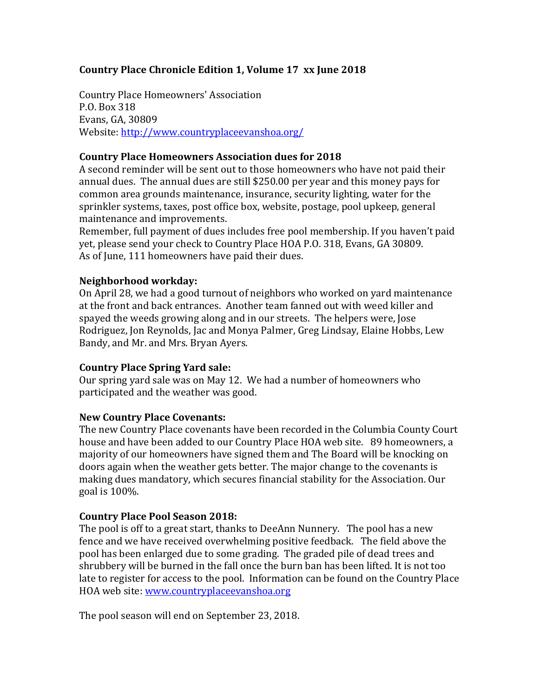## **Country Place Chronicle Edition 1, Volume 17 xx June 2018**

Country Place Homeowners' Association P.O. Box 318 Evans, GA, 30809 Website: <http://www.countryplaceevanshoa.org/>

#### **Country Place Homeowners Association dues for 2018**

A second reminder will be sent out to those homeowners who have not paid their annual dues. The annual dues are still \$250.00 per year and this money pays for common area grounds maintenance, insurance, security lighting, water for the sprinkler systems, taxes, post office box, website, postage, pool upkeep, general maintenance and improvements.

Remember, full payment of dues includes free pool membership. If you haven't paid yet, please send your check to Country Place HOA P.O. 318, Evans, GA 30809. As of June, 111 homeowners have paid their dues.

#### **Neighborhood workday:**

On April 28, we had a good turnout of neighbors who worked on yard maintenance at the front and back entrances. Another team fanned out with weed killer and spayed the weeds growing along and in our streets. The helpers were, Jose Rodriguez, Jon Reynolds, Jac and Monya Palmer, Greg Lindsay, Elaine Hobbs, Lew Bandy, and Mr. and Mrs. Bryan Ayers.

## **Country Place Spring Yard sale:**

Our spring yard sale was on May 12. We had a number of homeowners who participated and the weather was good.

## **New Country Place Covenants:**

The new Country Place covenants have been recorded in the Columbia County Court house and have been added to our Country Place HOA web site. 89 homeowners, a majority of our homeowners have signed them and The Board will be knocking on doors again when the weather gets better. The major change to the covenants is making dues mandatory, which secures financial stability for the Association. Our goal is 100%.

## **Country Place Pool Season 2018:**

The pool is off to a great start, thanks to DeeAnn Nunnery. The pool has a new fence and we have received overwhelming positive feedback. The field above the pool has been enlarged due to some grading. The graded pile of dead trees and shrubbery will be burned in the fall once the burn ban has been lifted. It is not too late to register for access to the pool. Information can be found on the Country Place HOA web site: [www.countryplaceevanshoa.org](http://www.countryplaceevanshoa.org/)

The pool season will end on September 23, 2018.